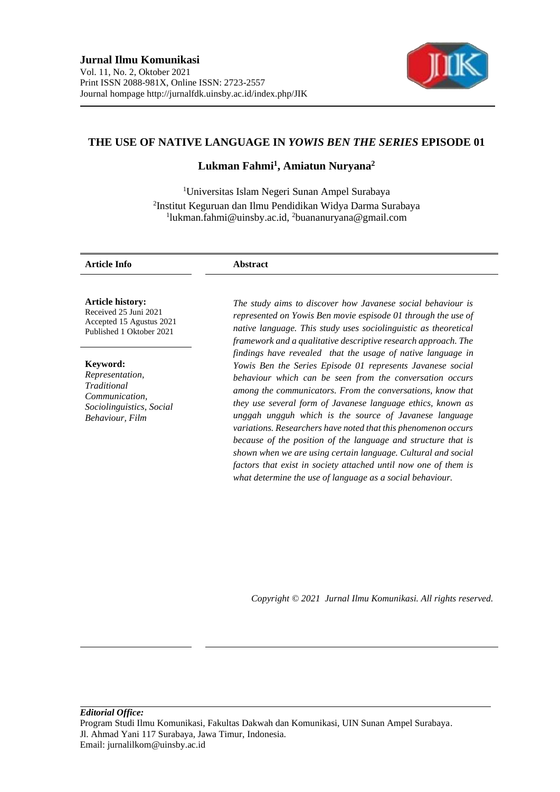

# **THE USE OF NATIVE LANGUAGE IN** *YOWIS BEN THE SERIES* **EPISODE 01**

# **Lukman Fahmi<sup>1</sup> , Amiatun Nuryana<sup>2</sup>**

<sup>1</sup>Universitas Islam Negeri Sunan Ampel Surabaya 2 Institut Keguruan dan Ilmu Pendidikan Widya Darma Surabaya 1 lukman.fahmi@uinsby.ac.id, <sup>2</sup>buananuryana@gmail.com

#### **Article Info Abstract**

**Article history:**

Received 25 Juni 2021 Accepted 15 Agustus 2021 Published 1 Oktober 2021

**Keyword:**

*Representation, Traditional Communication, Sociolinguistics, Social Behaviour, Film*

*The study aims to discover how Javanese social behaviour is represented on Yowis Ben movie espisode 01 through the use of native language. This study uses sociolinguistic as theoretical framework and a qualitative descriptive research approach. The findings have revealed that the usage of native language in Yowis Ben the Series Episode 01 represents Javanese social behaviour which can be seen from the conversation occurs among the communicators. From the conversations, know that they use several form of Javanese language ethics, known as unggah ungguh which is the source of Javanese language variations. Researchers have noted that this phenomenon occurs because of the position of the language and structure that is shown when we are using certain language. Cultural and social factors that exist in society attached until now one of them is what determine the use of language as a social behaviour.*

*Copyright © 2021 Jurnal Ilmu Komunikasi. All rights reserved.*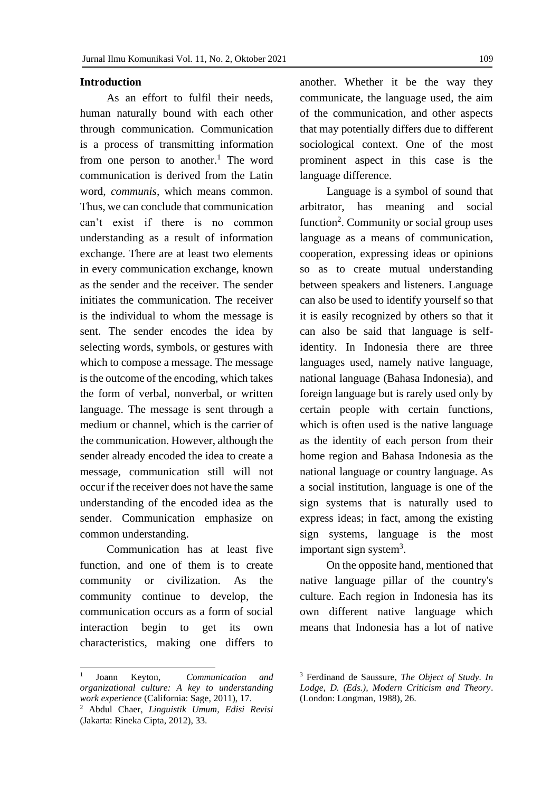#### **Introduction**

As an effort to fulfil their needs, human naturally bound with each other through communication. Communication is a process of transmitting information from one person to another.<sup>1</sup> The word communication is derived from the Latin word, *communis*, which means common. Thus, we can conclude that communication can't exist if there is no common understanding as a result of information exchange. There are at least two elements in every communication exchange, known as the sender and the receiver. The sender initiates the communication. The receiver is the individual to whom the message is sent. The sender encodes the idea by selecting words, symbols, or gestures with which to compose a message. The message is the outcome of the encoding, which takes the form of verbal, nonverbal, or written language. The message is sent through a medium or channel, which is the carrier of the communication. However, although the sender already encoded the idea to create a message, communication still will not occur if the receiver does not have the same understanding of the encoded idea as the sender. Communication emphasize on common understanding.

Communication has at least five function, and one of them is to create community or civilization. As the community continue to develop, the communication occurs as a form of social interaction begin to get its own characteristics, making one differs to

another. Whether it be the way they communicate, the language used, the aim of the communication, and other aspects that may potentially differs due to different sociological context. One of the most prominent aspect in this case is the language difference.

Language is a symbol of sound that arbitrator, has meaning and social function<sup>2</sup>. Community or social group uses language as a means of communication, cooperation, expressing ideas or opinions so as to create mutual understanding between speakers and listeners. Language can also be used to identify yourself so that it is easily recognized by others so that it can also be said that language is selfidentity. In Indonesia there are three languages used, namely native language, national language (Bahasa Indonesia), and foreign language but is rarely used only by certain people with certain functions, which is often used is the native language as the identity of each person from their home region and Bahasa Indonesia as the national language or country language. As a social institution, language is one of the sign systems that is naturally used to express ideas; in fact, among the existing sign systems, language is the most important sign system<sup>3</sup>.

On the opposite hand, mentioned that native language pillar of the country's culture. Each region in Indonesia has its own different native language which means that Indonesia has a lot of native

<sup>1</sup> Joann Keyton, *Communication and organizational culture: A key to understanding work experience* (California: Sage, 2011), 17.

<sup>2</sup> Abdul Chaer, *Linguistik Umum, Edisi Revisi* (Jakarta: Rineka Cipta, 2012), 33.

<sup>3</sup> Ferdinand de Saussure, *The Object of Study. In Lodge, D. (Eds.), Modern Criticism and Theory*. (London: Longman, 1988), 26.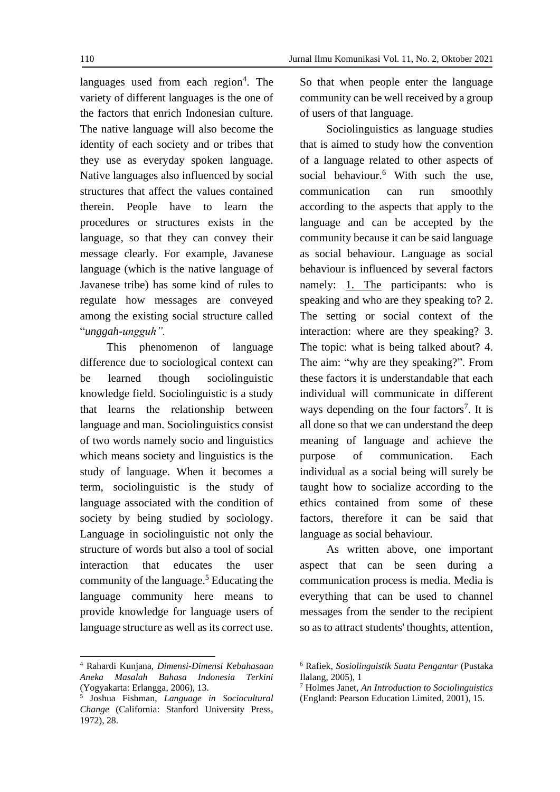languages used from each region<sup>4</sup>. The variety of different languages is the one of the factors that enrich Indonesian culture. The native language will also become the identity of each society and or tribes that they use as everyday spoken language. Native languages also influenced by social structures that affect the values contained therein. People have to learn the procedures or structures exists in the language, so that they can convey their message clearly. For example, Javanese language (which is the native language of Javanese tribe) has some kind of rules to regulate how messages are conveyed among the existing social structure called "*unggah-ungguh".*

This phenomenon of language difference due to sociological context can be learned though sociolinguistic knowledge field. Sociolinguistic is a study that learns the relationship between language and man. Sociolinguistics consist of two words namely socio and linguistics which means society and linguistics is the study of language. When it becomes a term, sociolinguistic is the study of language associated with the condition of society by being studied by sociology. Language in sociolinguistic not only the structure of words but also a tool of social interaction that educates the user community of the language. <sup>5</sup> Educating the language community here means to provide knowledge for language users of language structure as well as its correct use.

<sup>4</sup> Rahardi Kunjana, *Dimensi-Dimensi Kebahasaan Aneka Masalah Bahasa Indonesia Terkini* (Yogyakarta: Erlangga, 2006), 13.

So that when people enter the language community can be well received by a group of users of that language.

Sociolinguistics as language studies that is aimed to study how the convention of a language related to other aspects of social behaviour.<sup>6</sup> With such the use, communication can run smoothly according to the aspects that apply to the language and can be accepted by the community because it can be said language as social behaviour. Language as social behaviour is influenced by several factors namely: 1. [The](https://ssl.microsofttranslator.com/bv.aspx?ref=TAns&from=&to=en&a=1.The) participants: who is speaking and who are they speaking to? 2. The setting or social context of the interaction: where are they speaking? 3. The topic: what is being talked about? 4. The aim: "why are they speaking?". From these factors it is understandable that each individual will communicate in different ways depending on the four factors<sup>7</sup>. It is all done so that we can understand the deep meaning of language and achieve the purpose of communication. Each individual as a social being will surely be taught how to socialize according to the ethics contained from some of these factors, therefore it can be said that language as social behaviour.

As written above, one important aspect that can be seen during a communication process is media. Media is everything that can be used to channel messages from the sender to the recipient so as to attract students' thoughts, attention,

<sup>5</sup> Joshua Fishman, *Language in Sociocultural Change* (California: Stanford University Press, 1972), 28.

<sup>6</sup> Rafiek, *Sosiolinguistik Suatu Pengantar* (Pustaka Ilalang, 2005), 1

<sup>7</sup> Holmes Janet, *An Introduction to Sociolinguistics* (England: Pearson Education Limited, 2001), 15.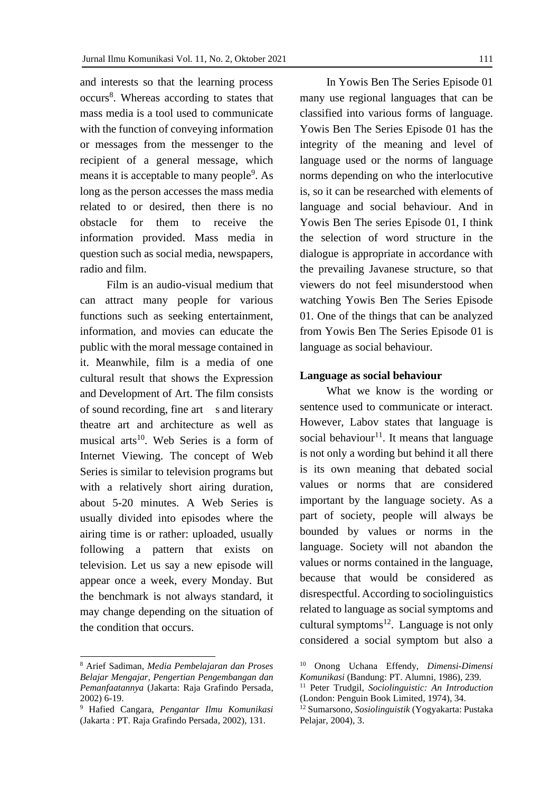and interests so that the learning process occurs<sup>8</sup>. Whereas according to states that mass media is a tool used to communicate with the function of conveying information or messages from the messenger to the recipient of a general message, which means it is acceptable to many people<sup>9</sup>. As long as the person accesses the mass media related to or desired, then there is no obstacle for them to receive the information provided. Mass media in question such as social media, newspapers, radio and film.

Film is an audio-visual medium that can attract many people for various functions such as seeking entertainment, information, and movies can educate the public with the moral message contained in it. Meanwhile, film is a media of one cultural result that shows the Expression and Development of Art. The film consists of sound recording, fine art s and literary theatre art and architecture as well as musical arts<sup>10</sup>. Web Series is a form of Internet Viewing. The concept of Web Series is similar to television programs but with a relatively short airing duration, about 5-20 minutes. A Web Series is usually divided into episodes where the airing time is or rather: uploaded, usually following a pattern that exists on television. Let us say a new episode will appear once a week, every Monday. But the benchmark is not always standard, it may change depending on the situation of the condition that occurs.

In Yowis Ben The Series Episode 01 many use regional languages that can be classified into various forms of language. Yowis Ben The Series Episode 01 has the integrity of the meaning and level of language used or the norms of language norms depending on who the interlocutive is, so it can be researched with elements of language and social behaviour. And in Yowis Ben The series Episode 01, I think the selection of word structure in the dialogue is appropriate in accordance with the prevailing Javanese structure, so that viewers do not feel misunderstood when watching Yowis Ben The Series Episode 01. One of the things that can be analyzed from Yowis Ben The Series Episode 01 is language as social behaviour.

#### **Language as social behaviour**

What we know is the wording or sentence used to communicate or interact. However, Labov states that language is social behaviour<sup>11</sup>. It means that language is not only a wording but behind it all there is its own meaning that debated social values or norms that are considered important by the language society. As a part of society, people will always be bounded by values or norms in the language. Society will not abandon the values or norms contained in the language, because that would be considered as disrespectful. According to sociolinguistics related to language as social symptoms and cultural symptoms $^{12}$ . Language is not only considered a social symptom but also a

<sup>8</sup> Arief Sadiman, *Media Pembelajaran dan Proses Belajar Mengajar, Pengertian Pengembangan dan Pemanfaatannya* (Jakarta: Raja Grafindo Persada, 2002) 6-19.

<sup>9</sup> Hafied Cangara, *Pengantar Ilmu Komunikasi* (Jakarta : PT. Raja Grafindo Persada, 2002), 131.

<sup>10</sup> Onong Uchana Effendy, *Dimensi-Dimensi Komunikasi* (Bandung: PT. Alumni, 1986), 239.

<sup>11</sup> Peter Trudgil, *Sociolinguistic: An Introduction* (London: Penguin Book Limited, 1974), 34.

<sup>12</sup> Sumarsono, *Sosiolinguistik* (Yogyakarta: Pustaka Pelajar, 2004), 3.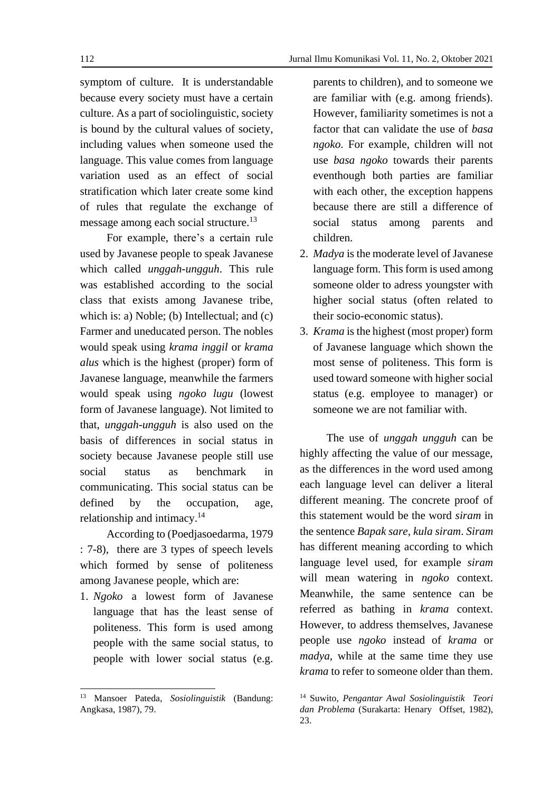symptom of culture. It is understandable because every society must have a certain culture. As a part of sociolinguistic, society is bound by the cultural values of society, including values when someone used the language. This value comes from language variation used as an effect of social stratification which later create some kind of rules that regulate the exchange of message among each social structure.<sup>13</sup>

For example, there's a certain rule used by Javanese people to speak Javanese which called *unggah-ungguh*. This rule was established according to the social class that exists among Javanese tribe, which is: a) Noble; (b) Intellectual; and (c) Farmer and uneducated person. The nobles would speak using *krama inggil* or *krama alus* which is the highest (proper) form of Javanese language, meanwhile the farmers would speak using *ngoko lugu* (lowest form of Javanese language). Not limited to that, *unggah-ungguh* is also used on the basis of differences in social status in society because Javanese people still use social status as benchmark in communicating. This social status can be defined by the occupation, age, relationship and intimacy.<sup>14</sup>

According to (Poedjasoedarma, 1979 : 7-8), there are 3 types of speech levels which formed by sense of politeness among Javanese people, which are:

1. *Ngoko* a lowest form of Javanese language that has the least sense of politeness. This form is used among people with the same social status, to people with lower social status (e.g.

parents to children), and to someone we are familiar with (e.g. among friends). However, familiarity sometimes is not a factor that can validate the use of *basa ngoko*. For example, children will not use *basa ngoko* towards their parents eventhough both parties are familiar with each other, the exception happens because there are still a difference of social status among parents and children.

- 2. *Madya* is the moderate level of Javanese language form. This form is used among someone older to adress youngster with higher social status (often related to their socio-economic status).
- 3. *Krama* is the highest (most proper) form of Javanese language which shown the most sense of politeness. This form is used toward someone with higher social status (e.g. employee to manager) or someone we are not familiar with.

The use of *unggah ungguh* can be highly affecting the value of our message, as the differences in the word used among each language level can deliver a literal different meaning. The concrete proof of this statement would be the word *siram* in the sentence *Bapak sare, kula siram*. *Siram*  has different meaning according to which language level used, for example *siram*  will mean watering in *ngoko* context. Meanwhile, the same sentence can be referred as bathing in *krama* context. However, to address themselves, Javanese people use *ngoko* instead of *krama* or *madya*, while at the same time they use *krama* to refer to someone older than them.

<sup>13</sup> Mansoer Pateda, *Sosiolinguistik* (Bandung: Angkasa, 1987), 79.

<sup>14</sup> Suwito, *Pengantar Awal Sosiolinguistik Teori dan Problema* (Surakarta: Henary Offset, 1982), 23.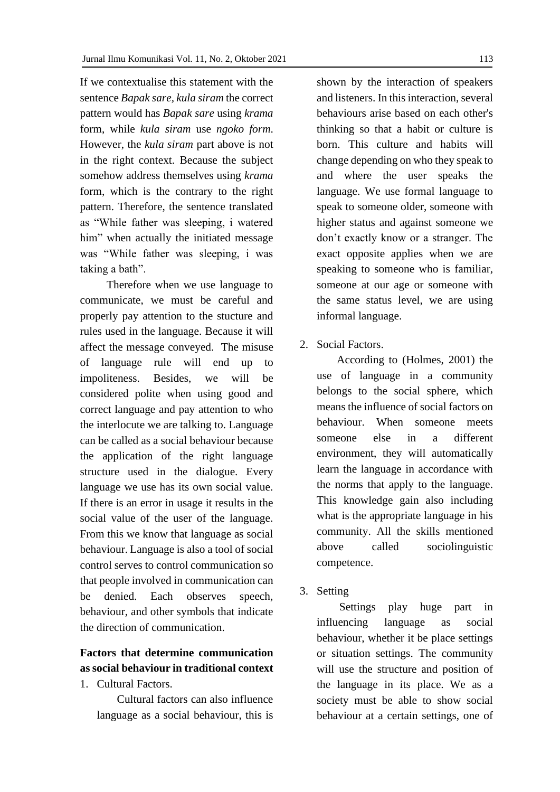If we contextualise this statement with the sentence *Bapak sare, kula siram* the correct pattern would has *Bapak sare* using *krama*  form, while *kula siram* use *ngoko form*. However, the *kula siram* part above is not in the right context. Because the subject somehow address themselves using *krama*  form, which is the contrary to the right pattern. Therefore, the sentence translated as "While father was sleeping, i watered him" when actually the initiated message was "While father was sleeping, i was taking a bath".

Therefore when we use language to communicate, we must be careful and properly pay attention to the stucture and rules used in the language. Because it will affect the message conveyed. The misuse of language rule will end up to impoliteness. Besides, we will be considered polite when using good and correct language and pay attention to who the interlocute we are talking to. Language can be called as a social behaviour because the application of the right language structure used in the dialogue. Every language we use has its own social value. If there is an error in usage it results in the social value of the user of the language. From this we know that language as social behaviour. Language is also a tool of social control serves to control communication so that people involved in communication can be denied. Each observes speech, behaviour, and other symbols that indicate the direction of communication.

# **Factors that determine communication as social behaviour in traditional context**

1. Cultural Factors.

Cultural factors can also influence language as a social behaviour, this is

shown by the interaction of speakers and listeners. In this interaction, several behaviours arise based on each other's thinking so that a habit or culture is born. This culture and habits will change depending on who they speak to and where the user speaks the language. We use formal language to speak to someone older, someone with higher status and against someone we don't exactly know or a stranger. The exact opposite applies when we are speaking to someone who is familiar, someone at our age or someone with the same status level, we are using informal language.

2. Social Factors.

According to (Holmes, 2001) the use of language in a community belongs to the social sphere, which means the influence of social factors on behaviour. When someone meets someone else in a different environment, they will automatically learn the language in accordance with the norms that apply to the language. This knowledge gain also including what is the appropriate language in his community. All the skills mentioned above called sociolinguistic competence.

3. Setting

 Settings play huge part in influencing language as social behaviour, whether it be place settings or situation settings. The community will use the structure and position of the language in its place. We as a society must be able to show social behaviour at a certain settings, one of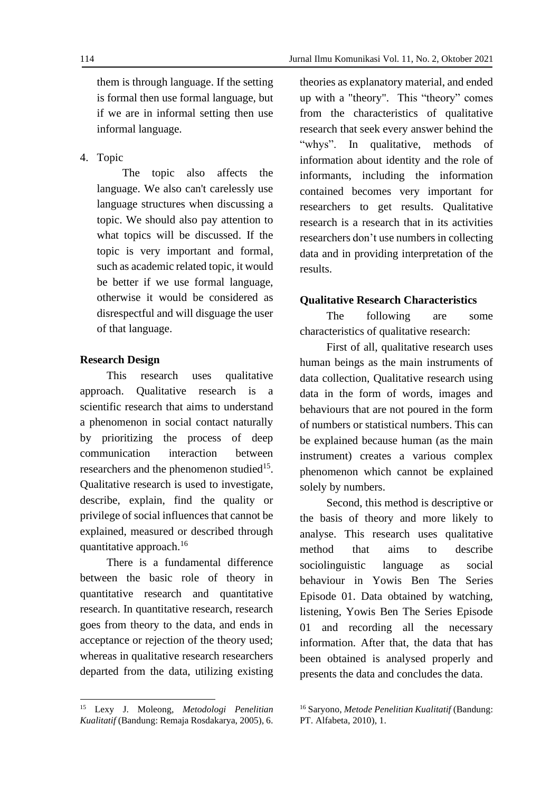them is through language. If the setting is formal then use formal language, but if we are in informal setting then use informal language.

4. Topic

 The topic also affects the language. We also can't carelessly use language structures when discussing a topic. We should also pay attention to what topics will be discussed. If the topic is very important and formal, such as academic related topic, it would be better if we use formal language, otherwise it would be considered as disrespectful and will disguage the user of that language.

## **Research Design**

This research uses qualitative approach. Qualitative research is a scientific research that aims to understand a phenomenon in social contact naturally by prioritizing the process of deep communication interaction between researchers and the phenomenon studied $15$ . Qualitative research is used to investigate, describe, explain, find the quality or privilege of social influences that cannot be explained, measured or described through quantitative approach. 16

There is a fundamental difference between the basic role of theory in quantitative research and quantitative research. In quantitative research, research goes from theory to the data, and ends in acceptance or rejection of the theory used; whereas in qualitative research researchers departed from the data, utilizing existing

theories as explanatory material, and ended up with a "theory". This "theory" comes from the characteristics of qualitative research that seek every answer behind the "whys". In qualitative, methods of information about identity and the role of informants, including the information contained becomes very important for researchers to get results. Qualitative research is a research that in its activities researchers don't use numbers in collecting data and in providing interpretation of the results.

### **Qualitative Research Characteristics**

The following are some characteristics of qualitative research:

First of all, qualitative research uses human beings as the main instruments of data collection, Qualitative research using data in the form of words, images and behaviours that are not poured in the form of numbers or statistical numbers. This can be explained because human (as the main instrument) creates a various complex phenomenon which cannot be explained solely by numbers.

Second, this method is descriptive or the basis of theory and more likely to analyse. This research uses qualitative method that aims to describe sociolinguistic language as social behaviour in Yowis Ben The Series Episode 01. Data obtained by watching, listening, Yowis Ben The Series Episode 01 and recording all the necessary information. After that, the data that has been obtained is analysed properly and presents the data and concludes the data.

<sup>15</sup> Lexy J. Moleong, *Metodologi Penelitian Kualitatif* (Bandung: Remaja Rosdakarya, 2005), 6.

<sup>16</sup> Saryono, *Metode Penelitian Kualitatif* (Bandung: PT. Alfabeta, 2010), 1.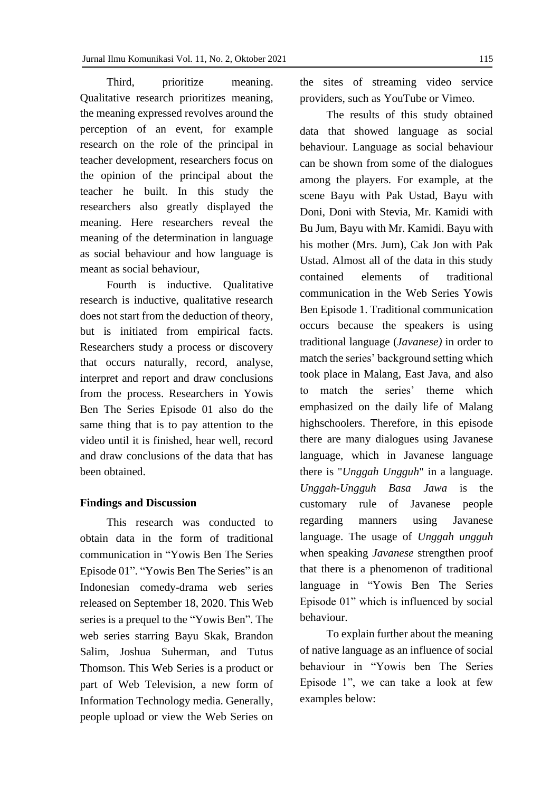Third, prioritize meaning. Qualitative research prioritizes meaning, the meaning expressed revolves around the perception of an event, for example research on the role of the principal in teacher development, researchers focus on the opinion of the principal about the teacher he built. In this study the researchers also greatly displayed the meaning. Here researchers reveal the meaning of the determination in language as social behaviour and how language is meant as social behaviour,

Fourth is inductive. Qualitative research is inductive, qualitative research does not start from the deduction of theory, but is initiated from empirical facts. Researchers study a process or discovery that occurs naturally, record, analyse, interpret and report and draw conclusions from the process. Researchers in Yowis Ben The Series Episode 01 also do the same thing that is to pay attention to the video until it is finished, hear well, record and draw conclusions of the data that has been obtained.

#### **Findings and Discussion**

This research was conducted to obtain data in the form of traditional communication in "Yowis Ben The Series Episode 01". "Yowis Ben The Series" is an Indonesian comedy-drama web series released on September 18, 2020. This Web series is a prequel to the "Yowis Ben". The web series starring Bayu Skak, Brandon Salim, Joshua Suherman, and Tutus Thomson. This Web Series is a product or part of Web Television, a new form of Information Technology media. Generally, people upload or view the Web Series on the sites of streaming video service providers, such as YouTube or Vimeo.

The results of this study obtained data that showed language as social behaviour. Language as social behaviour can be shown from some of the dialogues among the players. For example, at the scene Bayu with Pak Ustad, Bayu with Doni, Doni with Stevia, Mr. Kamidi with Bu Jum, Bayu with Mr. Kamidi. Bayu with his mother (Mrs. Jum), Cak Jon with Pak Ustad. Almost all of the data in this study contained elements of traditional communication in the Web Series Yowis Ben Episode 1. Traditional communication occurs because the speakers is using traditional language (*Javanese)* in order to match the series' background setting which took place in Malang, East Java, and also to match the series' theme which emphasized on the daily life of Malang highschoolers. Therefore, in this episode there are many dialogues using Javanese language, which in Javanese language there is "*Unggah Ungguh*" in a language. *Unggah-Ungguh Basa Jawa* is the customary rule of Javanese people regarding manners using Javanese language. The usage of *Unggah ungguh*  when speaking *Javanese* strengthen proof that there is a phenomenon of traditional language in "Yowis Ben The Series Episode 01" which is influenced by social behaviour.

To explain further about the meaning of native language as an influence of social behaviour in "Yowis ben The Series Episode 1", we can take a look at few examples below: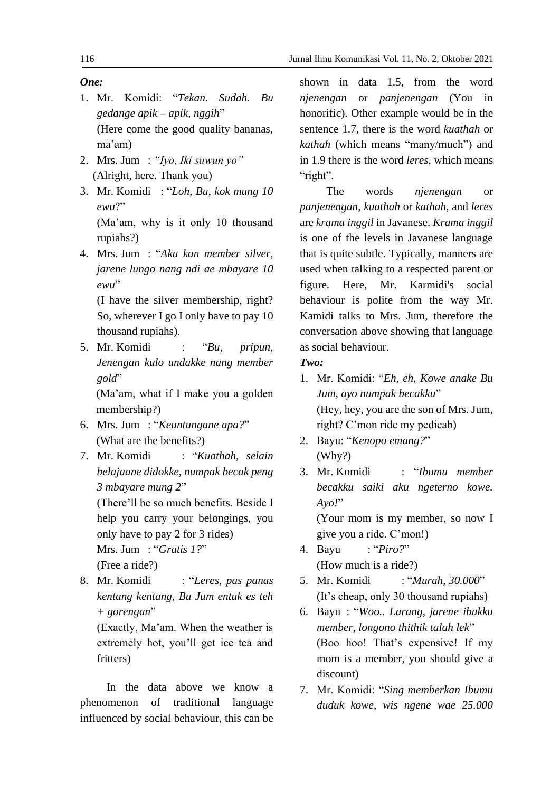# *One:*

- 1. Mr. Komidi: "*Tekan. Sudah. Bu gedange apik – apik, nggih*" (Here come the good quality bananas, ma'am)
- 2. Mrs. Jum : *"Iyo, Iki suwun yo"* (Alright, here. Thank you)
- 3. Mr. Komidi : "*Loh, Bu, kok mung 10 ewu*?" (Ma'am, why is it only 10 thousand rupiahs?)
- 4. Mrs. Jum : "*Aku kan member silver, jarene lungo nang ndi ae mbayare 10 ewu*"

(I have the silver membership, right? So, wherever I go I only have to pay 10 thousand rupiahs).

5. Mr. Komidi : "*Bu, pripun, Jenengan kulo undakke nang member gold*"

(Ma'am, what if I make you a golden membership?)

- 6. Mrs. Jum : "*Keuntungane apa?*" (What are the benefits?)
- 7. Mr. Komidi : "*Kuathah, selain belajaane didokke, numpak becak peng 3 mbayare mung 2*"

(There'll be so much benefits. Beside I help you carry your belongings, you only have to pay 2 for 3 rides) Mrs. Jum : "*Gratis 1?*" (Free a ride?)

- 8. Mr. Komidi : "*Leres, pas panas*
- *kentang kentang, Bu Jum entuk es teh + gorengan*"

(Exactly, Ma'am. When the weather is extremely hot, you'll get ice tea and fritters)

In the data above we know a phenomenon of traditional language influenced by social behaviour, this can be

shown in data 1.5, from the word *njenengan* or *panjenengan* (You in honorific). Other example would be in the sentence 1.7, there is the word *kuathah* or *kathah* (which means "many/much") and in 1.9 there is the word *leres*, which means "right".

The words *njenengan* or *panjenengan*, *kuathah* or *kathah,* and *leres* are *krama inggil* in Javanese. *Krama inggil* is one of the levels in Javanese language that is quite subtle. Typically, manners are used when talking to a respected parent or figure. Here, Mr. Karmidi's social behaviour is polite from the way Mr. Kamidi talks to Mrs. Jum, therefore the conversation above showing that language as social behaviour.

# *Two:*

- 1. Mr. Komidi: "*Eh, eh, Kowe anake Bu Jum, ayo numpak becakku*" (Hey, hey, you are the son of Mrs. Jum, right? C'mon ride my pedicab)
- 2. Bayu: "*Kenopo emang?*" (Why?)
- 3. Mr. Komidi : "*Ibumu member becakku saiki aku ngeterno kowe. Ayo!*"

(Your mom is my member, so now I give you a ride. C'mon!)

- 4. Bayu : "*Piro?*" (How much is a ride?)
- 5. Mr. Komidi : "*Murah, 30.000*" (It's cheap, only 30 thousand rupiahs)
- 6. Bayu : "*Woo.. Larang, jarene ibukku member, longono thithik talah lek*" (Boo hoo! That's expensive! If my mom is a member, you should give a discount)
- 7. Mr. Komidi: "*Sing memberkan Ibumu duduk kowe, wis ngene wae 25.000*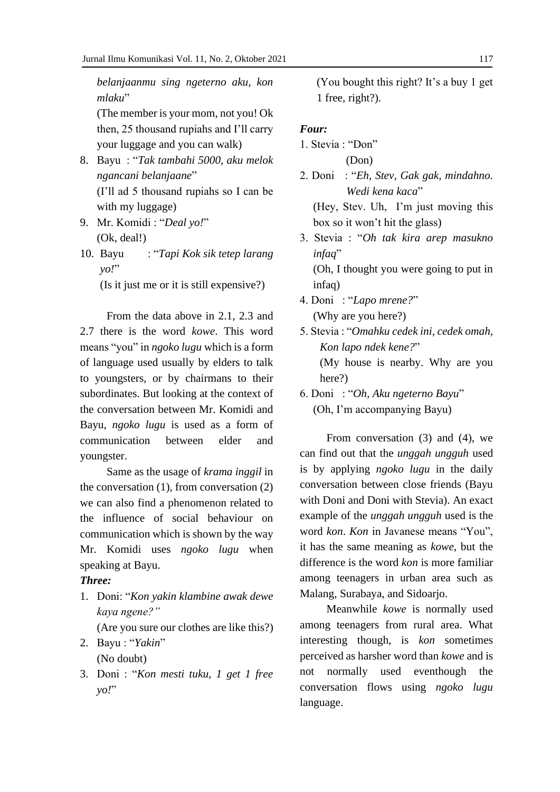*belanjaanmu sing ngeterno aku, kon mlaku*"

(The member is your mom, not you! Ok then, 25 thousand rupiahs and I'll carry your luggage and you can walk)

- 8. Bayu : "*Tak tambahi 5000, aku melok ngancani belanjaane*" (I'll ad 5 thousand rupiahs so I can be with my luggage)
- 9. Mr. Komidi : "*Deal yo!*" (Ok, deal!)
- 10. Bayu : "*Tapi Kok sik tetep larang yo!*"

(Is it just me or it is still expensive?)

From the data above in 2.1, 2.3 and 2.7 there is the word *kowe*. This word means "you" in *ngoko lugu* which is a form of language used usually by elders to talk to youngsters, or by chairmans to their subordinates. But looking at the context of the conversation between Mr. Komidi and Bayu, *ngoko lugu* is used as a form of communication between elder and youngster.

Same as the usage of *krama inggil* in the conversation (1), from conversation (2) we can also find a phenomenon related to the influence of social behaviour on communication which is shown by the way Mr. Komidi uses *ngoko lugu* when speaking at Bayu.

# *Three:*

1. Doni: "*Kon yakin klambine awak dewe kaya ngene?"*

(Are you sure our clothes are like this?)

- 2. Bayu : "*Yakin*" (No doubt)
- 3. Doni : "*Kon mesti tuku, 1 get 1 free yo!*"

(You bought this right? It's a buy 1 get 1 free, right?).

# *Four:*

- 1. Stevia : "Don" (Don)
- 2. Doni : "*Eh, Stev, Gak gak, mindahno. Wedi kena kaca*"

(Hey, Stev. Uh, I'm just moving this box so it won't hit the glass)

- 3. Stevia : "*Oh tak kira arep masukno infaq*" (Oh, I thought you were going to put in
- infag) 4. Doni : "*Lapo mrene?*" (Why are you here?)
- 5. Stevia : "*Omahku cedek ini, cedek omah, Kon lapo ndek kene?*" (My house is nearby. Why are you here?)
- 6. Doni : "*Oh, Aku ngeterno Bayu*" (Oh, I'm accompanying Bayu)

From conversation (3) and (4), we can find out that the *unggah ungguh* used is by applying *ngoko lugu* in the daily conversation between close friends (Bayu with Doni and Doni with Stevia). An exact example of the *unggah ungguh* used is the word *kon*. *Kon* in Javanese means "You", it has the same meaning as *kowe*, but the difference is the word *kon* is more familiar among teenagers in urban area such as Malang, Surabaya, and Sidoarjo.

Meanwhile *kowe* is normally used among teenagers from rural area. What interesting though, is *kon* sometimes perceived as harsher word than *kowe* and is not normally used eventhough the conversation flows using *ngoko lugu* language.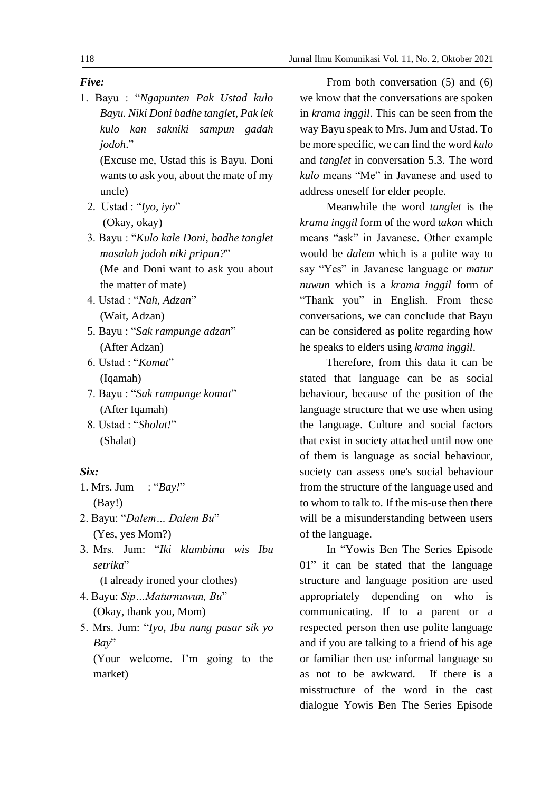# *Five:*

1. Bayu : "*Ngapunten Pak Ustad kulo Bayu. Niki Doni badhe tanglet, Pak lek kulo kan sakniki sampun gadah jodoh*."

(Excuse me, Ustad this is Bayu. Doni wants to ask you, about the mate of my uncle)

- 2. Ustad : "*Iyo, iyo*" (Okay, okay)
- 3. Bayu : "*Kulo kale Doni, badhe tanglet masalah jodoh niki pripun?*" (Me and Doni want to ask you about the matter of mate)
- 4. Ustad : "*Nah, Adzan*" (Wait, Adzan)
- 5. Bayu : "*Sak rampunge adzan*" (After Adzan)
- 6. Ustad : "*Komat*" (Iqamah)
- 7. Bayu : "*Sak rampunge komat*" (After Iqamah)
- 8. Ustad : "*Sholat!*" (Shalat)

# *Six:*

- 1. Mrs. Jum : "*Bay!*" (Bay!)
- 2. Bayu: "*Dalem… Dalem Bu*" (Yes, yes Mom?)
- 3. Mrs. Jum: "*Iki klambimu wis Ibu setrika*"

(I already ironed your clothes)

- 4. Bayu: *Sip…Maturnuwun, Bu*" (Okay, thank you, Mom)
- 5. Mrs. Jum: "*Iyo, Ibu nang pasar sik yo Bay*"

(Your welcome. I'm going to the market)

From both conversation (5) and (6) we know that the conversations are spoken in *krama inggil*. This can be seen from the way Bayu speak to Mrs. Jum and Ustad. To be more specific, we can find the word *kulo*  and *tanglet* in conversation 5.3. The word *kulo* means "Me" in Javanese and used to address oneself for elder people.

Meanwhile the word *tanglet* is the *krama inggil* form of the word *takon* which means "ask" in Javanese. Other example would be *dalem* which is a polite way to say "Yes" in Javanese language or *matur nuwun* which is a *krama inggil* form of "Thank you" in English. From these conversations, we can conclude that Bayu can be considered as polite regarding how he speaks to elders using *krama inggil*.

Therefore, from this data it can be stated that language can be as social behaviour, because of the position of the language structure that we use when using the language. Culture and social factors that exist in society attached until now one of them is language as social behaviour, society can assess one's social behaviour from the structure of the language used and to whom to talk to. If the mis-use then there will be a misunderstanding between users of the language.

In "Yowis Ben The Series Episode 01" it can be stated that the language structure and language position are used appropriately depending on who is communicating. If to a parent or a respected person then use polite language and if you are talking to a friend of his age or familiar then use informal language so as not to be awkward. If there is a misstructure of the word in the cast dialogue Yowis Ben The Series Episode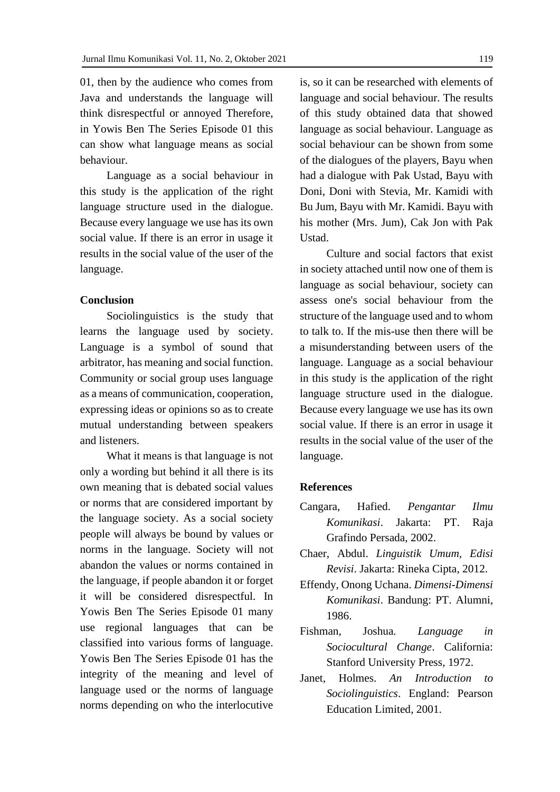01, then by the audience who comes from Java and understands the language will think disrespectful or annoyed Therefore, in Yowis Ben The Series Episode 01 this can show what language means as social behaviour.

Language as a social behaviour in this study is the application of the right language structure used in the dialogue. Because every language we use has its own social value. If there is an error in usage it results in the social value of the user of the language.

### **Conclusion**

Sociolinguistics is the study that learns the language used by society. Language is a symbol of sound that arbitrator, has meaning and social function. Community or social group uses language as a means of communication, cooperation, expressing ideas or opinions so as to create mutual understanding between speakers and listeners.

What it means is that language is not only a wording but behind it all there is its own meaning that is debated social values or norms that are considered important by the language society. As a social society people will always be bound by values or norms in the language. Society will not abandon the values or norms contained in the language, if people abandon it or forget it will be considered disrespectful. In Yowis Ben The Series Episode 01 many use regional languages that can be classified into various forms of language. Yowis Ben The Series Episode 01 has the integrity of the meaning and level of language used or the norms of language norms depending on who the interlocutive

is, so it can be researched with elements of language and social behaviour. The results of this study obtained data that showed language as social behaviour. Language as social behaviour can be shown from some of the dialogues of the players, Bayu when had a dialogue with Pak Ustad, Bayu with Doni, Doni with Stevia, Mr. Kamidi with Bu Jum, Bayu with Mr. Kamidi. Bayu with his mother (Mrs. Jum), Cak Jon with Pak Ustad.

Culture and social factors that exist in society attached until now one of them is language as social behaviour, society can assess one's social behaviour from the structure of the language used and to whom to talk to. If the mis-use then there will be a misunderstanding between users of the language. Language as a social behaviour in this study is the application of the right language structure used in the dialogue. Because every language we use has its own social value. If there is an error in usage it results in the social value of the user of the language.

#### **References**

- Cangara, Hafied. *Pengantar Ilmu Komunikasi*. Jakarta: PT. Raja Grafindo Persada, 2002.
- Chaer, Abdul. *Linguistik Umum, Edisi Revisi*. Jakarta: Rineka Cipta, 2012.
- Effendy, Onong Uchana. *Dimensi-Dimensi Komunikasi*. Bandung: PT. Alumni, 1986.
- Fishman*,* Joshua*. Language in Sociocultural Change*. California: Stanford University Press, 1972.
- Janet, Holmes. *An Introduction to Sociolinguistics*. England: Pearson Education Limited, 2001.